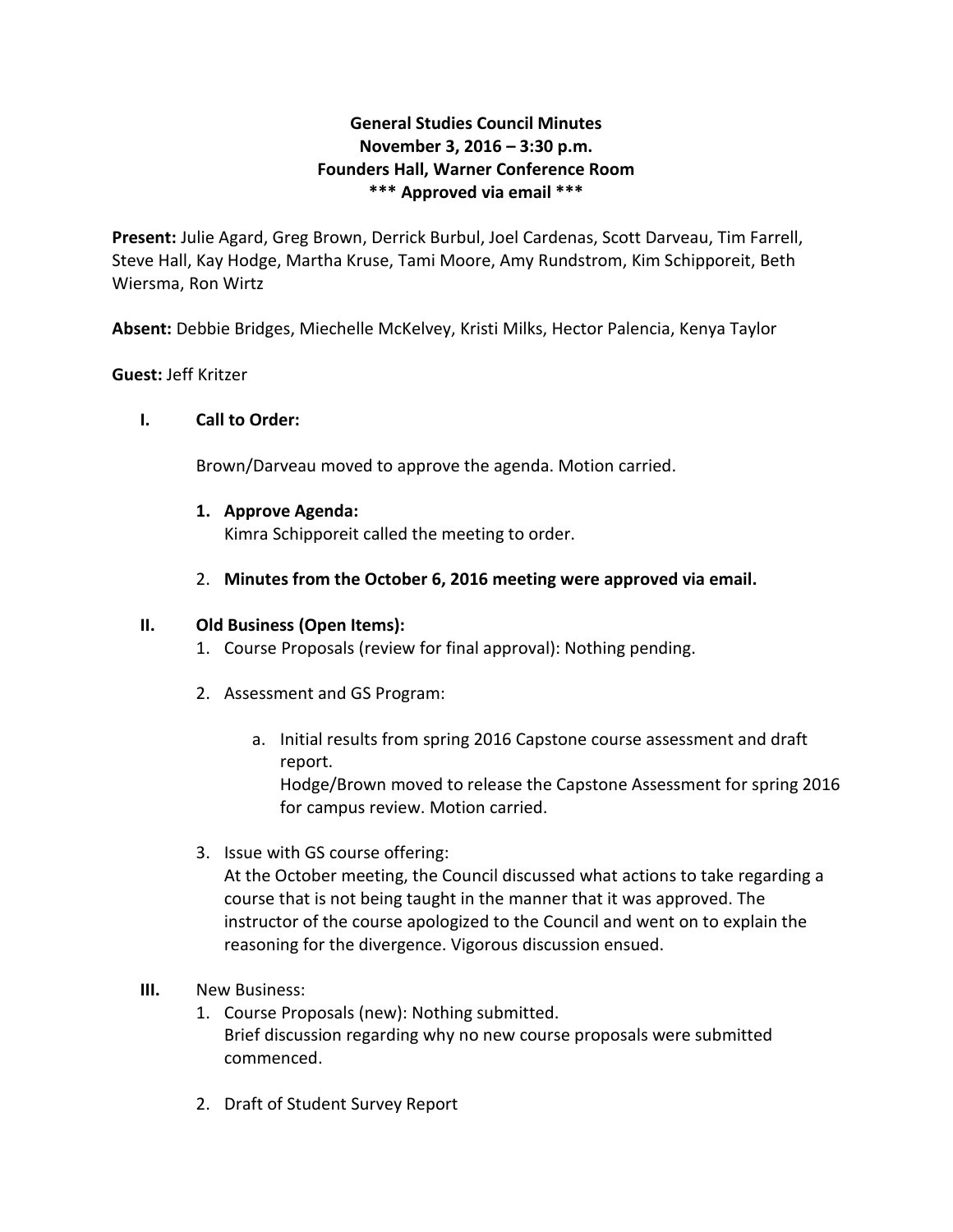# **General Studies Council Minutes November 3, 2016 – 3:30 p.m. Founders Hall, Warner Conference Room \*\*\* Approved via email \*\*\***

**Present:** Julie Agard, Greg Brown, Derrick Burbul, Joel Cardenas, Scott Darveau, Tim Farrell, Steve Hall, Kay Hodge, Martha Kruse, Tami Moore, Amy Rundstrom, Kim Schipporeit, Beth Wiersma, Ron Wirtz

**Absent:** Debbie Bridges, Miechelle McKelvey, Kristi Milks, Hector Palencia, Kenya Taylor

### **Guest:** Jeff Kritzer

# **I. Call to Order:**

Brown/Darveau moved to approve the agenda. Motion carried.

# **1. Approve Agenda:**

Kimra Schipporeit called the meeting to order.

2. **Minutes from the October 6, 2016 meeting were approved via email.**

### **II. Old Business (Open Items):**

- 1. Course Proposals (review for final approval): Nothing pending.
- 2. Assessment and GS Program:
	- a. Initial results from spring 2016 Capstone course assessment and draft report. Hodge/Brown moved to release the Capstone Assessment for spring 2016 for campus review. Motion carried.
- 3. Issue with GS course offering:

At the October meeting, the Council discussed what actions to take regarding a course that is not being taught in the manner that it was approved. The instructor of the course apologized to the Council and went on to explain the reasoning for the divergence. Vigorous discussion ensued.

- **III.** New Business:
	- 1. Course Proposals (new): Nothing submitted. Brief discussion regarding why no new course proposals were submitted commenced.
	- 2. Draft of Student Survey Report